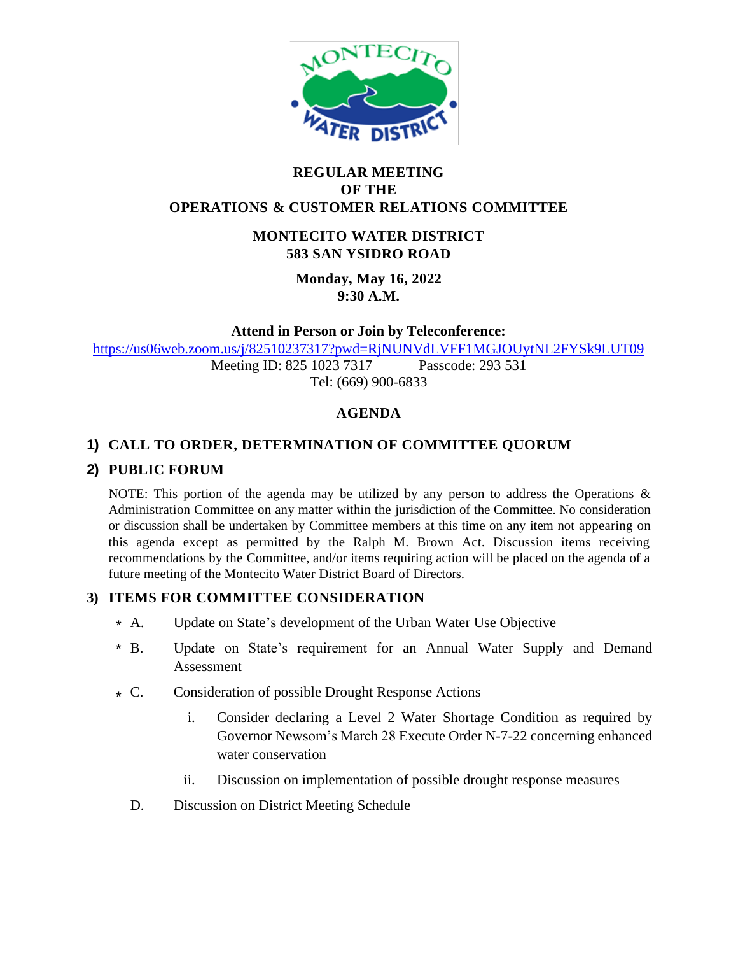

### **REGULAR MEETING OF THE OPERATIONS & CUSTOMER RELATIONS COMMITTEE**

### **MONTECITO WATER DISTRICT 583 SAN YSIDRO ROAD**

**Monday, May 16, 2022 9:30 A.M.**

**Attend in Person or Join by Teleconference:** 

<https://us06web.zoom.us/j/82510237317?pwd=RjNUNVdLVFF1MGJOUytNL2FYSk9LUT09>

Meeting ID: 825 1023 7317 Passcode: 293 531 Tel: (669) 900-6833

# **AGENDA**

# **1) CALL TO ORDER, DETERMINATION OF COMMITTEE QUORUM**

### **2) PUBLIC FORUM**

NOTE: This portion of the agenda may be utilized by any person to address the Operations  $\&$ Administration Committee on any matter within the jurisdiction of the Committee. No consideration or discussion shall be undertaken by Committee members at this time on any item not appearing on this agenda except as permitted by the Ralph M. Brown Act. Discussion items receiving recommendations by the Committee, and/or items requiring action will be placed on the agenda of a future meeting of the Montecito Water District Board of Directors.

# **3) ITEMS FOR COMMITTEE CONSIDERATION**

- Update on State's development of the Urban Water Use Objective  $* A.$
- Update on State's requirement for an Annual Water Supply and Demand Assessment  $*$  B.
- Consideration of possible Drought Response Actions  $\star$  C.
	- i. Consider declaring a Level 2 Water Shortage Condition as required by Governor Newsom's March 28 Execute Order N-7-22 concerning enhanced water conservation
	- ii. Discussion on implementation of possible drought response measures
	- D. Discussion on District Meeting Schedule